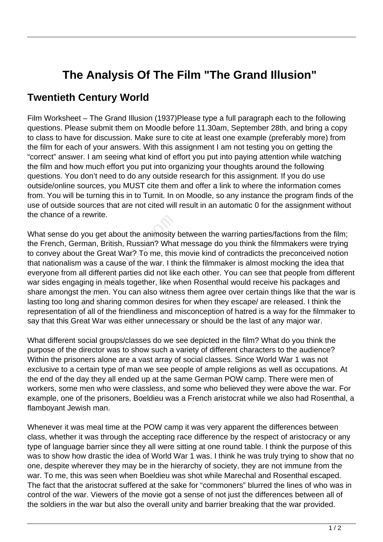## **The Analysis Of The Film "The Grand Illusion"**

## **Twentieth Century World**

Film Worksheet – The Grand Illusion (1937)Please type a full paragraph each to the following questions. Please submit them on Moodle before 11.30am, September 28th, and bring a copy to class to have for discussion. Make sure to cite at least one example (preferably more) from the film for each of your answers. With this assignment I am not testing you on getting the "correct" answer. I am seeing what kind of effort you put into paying attention while watching the film and how much effort you put into organizing your thoughts around the following questions. You don't need to do any outside research for this assignment. If you do use outside/online sources, you MUST cite them and offer a link to where the information comes from. You will be turning this in to Turnit. In on Moodle, so any instance the program finds of the use of outside sources that are not cited will result in an automatic 0 for the assignment without the chance of a rewrite.

What sense do you get about the animosity between the warring parties/factions from the film; the French, German, British, Russian? What message do you think the filmmakers were trying to convey about the Great War? To me, this movie kind of contradicts the preconceived notion that nationalism was a cause of the war. I think the filmmaker is almost mocking the idea that everyone from all different parties did not like each other. You can see that people from different war sides engaging in meals together, like when Rosenthal would receive his packages and share amongst the men. You can also witness them agree over certain things like that the war is lasting too long and sharing common desires for when they escape/ are released. I think the representation of all of the friendliness and misconception of hatred is a way for the filmmaker to say that this Great War was either unnecessary or should be the last of any major war. For a rewrite.<br>
The do you get about the animosity<br>
I, German, British, Russian? What<br>
about the Great War? To me, this<br>
alism was a cause of the war. I th<br>
from all different parties did not like<br>
engaging in meals togeth

What different social groups/classes do we see depicted in the film? What do you think the purpose of the director was to show such a variety of different characters to the audience? Within the prisoners alone are a vast array of social classes. Since World War 1 was not exclusive to a certain type of man we see people of ample religions as well as occupations. At the end of the day they all ended up at the same German POW camp. There were men of workers, some men who were classless, and some who believed they were above the war. For example, one of the prisoners, Boeldieu was a French aristocrat while we also had Rosenthal, a flamboyant Jewish man.

Whenever it was meal time at the POW camp it was very apparent the differences between class, whether it was through the accepting race difference by the respect of aristocracy or any type of language barrier since they all were sitting at one round table. I think the purpose of this was to show how drastic the idea of World War 1 was. I think he was truly trying to show that no one, despite wherever they may be in the hierarchy of society, they are not immune from the war. To me, this was seen when Boeldieu was shot while Marechal and Rosenthal escaped. The fact that the aristocrat suffered at the sake for "commoners" blurred the lines of who was in control of the war. Viewers of the movie got a sense of not just the differences between all of the soldiers in the war but also the overall unity and barrier breaking that the war provided.